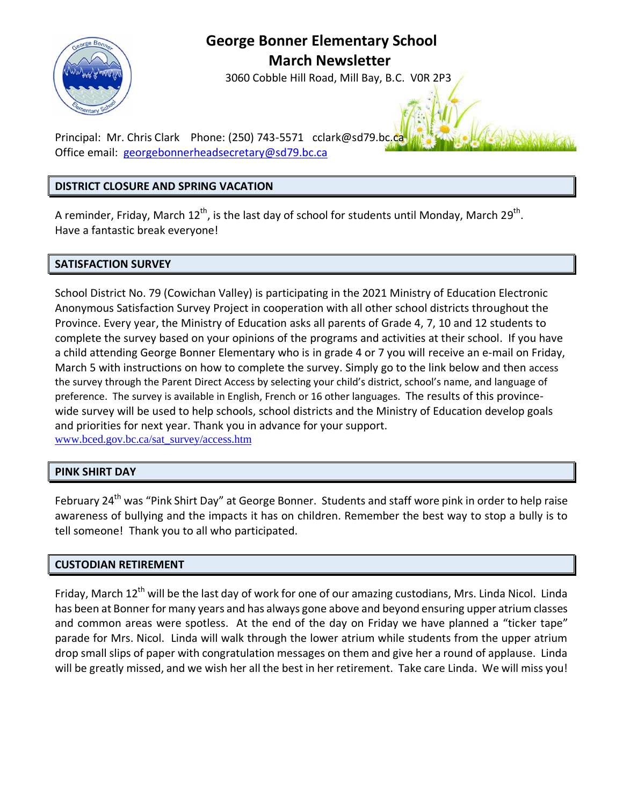

# **George Bonner Elementary School March Newsletter**

3060 Cobble Hill Road, Mill Bay, B.C. V0R 2P3

Principal: Mr. Chris Clark Phone: (250) 743-5571 [cclark@sd79.bc.ca](mailto:cclark@sd79.bc.ca) Office email: [georgebonnerheadsecretary@sd79.bc.ca](mailto:georgebonnerheadsecretary@sd79.bc.ca)

#### **DISTRICT CLOSURE AND SPRING VACATION**

A reminder, Friday, March 12<sup>th</sup>, is the last day of school for students until Monday, March 29<sup>th</sup>. Have a fantastic break everyone!

## **SATISFACTION SURVEY**

School District No. 79 (Cowichan Valley) is participating in the 2021 Ministry of Education Electronic Anonymous Satisfaction Survey Project in cooperation with all other school districts throughout the Province. Every year, the Ministry of Education asks all parents of Grade 4, 7, 10 and 12 students to complete the survey based on your opinions of the programs and activities at their school. If you have a child attending George Bonner Elementary who is in grade 4 or 7 you will receive an e-mail on Friday, March 5 with instructions on how to complete the survey. Simply go to the link below and then access the survey through the Parent Direct Access by selecting your child's district, school's name, and language of preference. The survey is available in English, French or 16 other languages. The results of this provincewide survey will be used to help schools, school districts and the Ministry of Education develop goals and priorities for next year. Thank you in advance for your support. [www.bced.gov.bc.ca/sat\\_survey/access.htm](http://www.bced.gov.bc.ca/sat_survey/access.htm)

## **PINK SHIRT DAY**

February 24<sup>th</sup> was "Pink Shirt Day" at George Bonner. Students and staff wore pink in order to help raise awareness of bullying and the impacts it has on children. Remember the best way to stop a bully is to tell someone! Thank you to all who participated.

#### **CUSTODIAN RETIREMENT**

Friday, March 12<sup>th</sup> will be the last day of work for one of our amazing custodians, Mrs. Linda Nicol. Linda has been at Bonner for many years and has always gone above and beyond ensuring upper atrium classes and common areas were spotless. At the end of the day on Friday we have planned a "ticker tape" parade for Mrs. Nicol. Linda will walk through the lower atrium while students from the upper atrium drop small slips of paper with congratulation messages on them and give her a round of applause. Linda will be greatly missed, and we wish her all the best in her retirement. Take care Linda. We will miss you!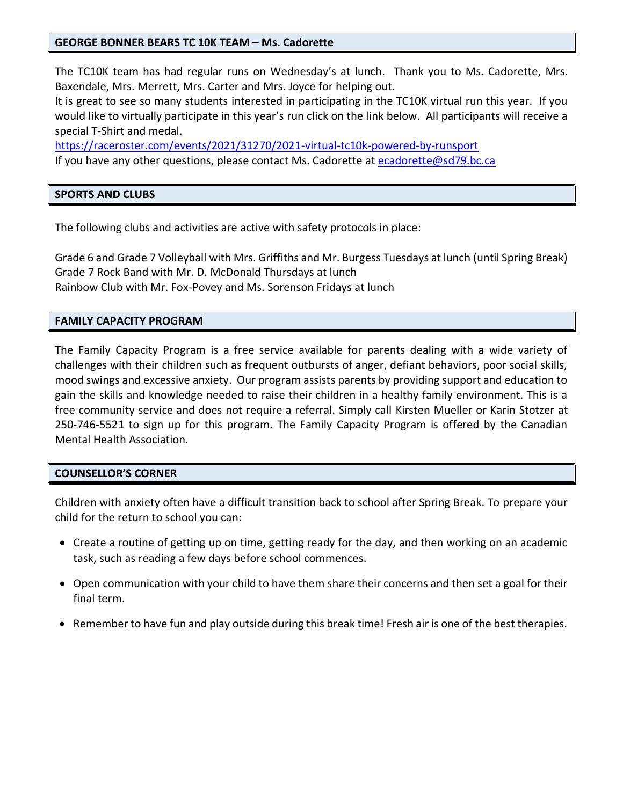#### **GEORGE BONNER BEARS TC 10K TEAM – Ms. Cadorette**

The TC10K team has had regular runs on Wednesday's at lunch. Thank you to Ms. Cadorette, Mrs. Baxendale, Mrs. Merrett, Mrs. Carter and Mrs. Joyce for helping out.

It is great to see so many students interested in participating in the TC10K virtual run this year. If you would like to virtually participate in this year's run click on the link below. All participants will receive a special T-Shirt and medal.

<https://raceroster.com/events/2021/31270/2021-virtual-tc10k-powered-by-runsport> If you have any other questions, please contact Ms. Cadorette at [ecadorette@sd79.bc.ca](mailto:ecadorette@sd79.bc.ca)

#### **SPORTS AND CLUBS**

The following clubs and activities are active with safety protocols in place:

Grade 6 and Grade 7 Volleyball with Mrs. Griffiths and Mr. Burgess Tuesdays at lunch (until Spring Break) Grade 7 Rock Band with Mr. D. McDonald Thursdays at lunch Rainbow Club with Mr. Fox-Povey and Ms. Sorenson Fridays at lunch

#### **FAMILY CAPACITY PROGRAM**

The Family Capacity Program is a free service available for parents dealing with a wide variety of challenges with their children such as frequent outbursts of anger, defiant behaviors, poor social skills, mood swings and excessive anxiety. Our program assists parents by providing support and education to gain the skills and knowledge needed to raise their children in a healthy family environment. This is a free community service and does not require a referral. Simply call Kirsten Mueller or Karin Stotzer at 250-746-5521 to sign up for this program. The Family Capacity Program is offered by the Canadian Mental Health Association.

#### **COUNSELLOR'S CORNER**

Children with anxiety often have a difficult transition back to school after Spring Break. To prepare your child for the return to school you can:

- Create a routine of getting up on time, getting ready for the day, and then working on an academic task, such as reading a few days before school commences.
- Open communication with your child to have them share their concerns and then set a goal for their final term.
- Remember to have fun and play outside during this break time! Fresh air is one of the best therapies.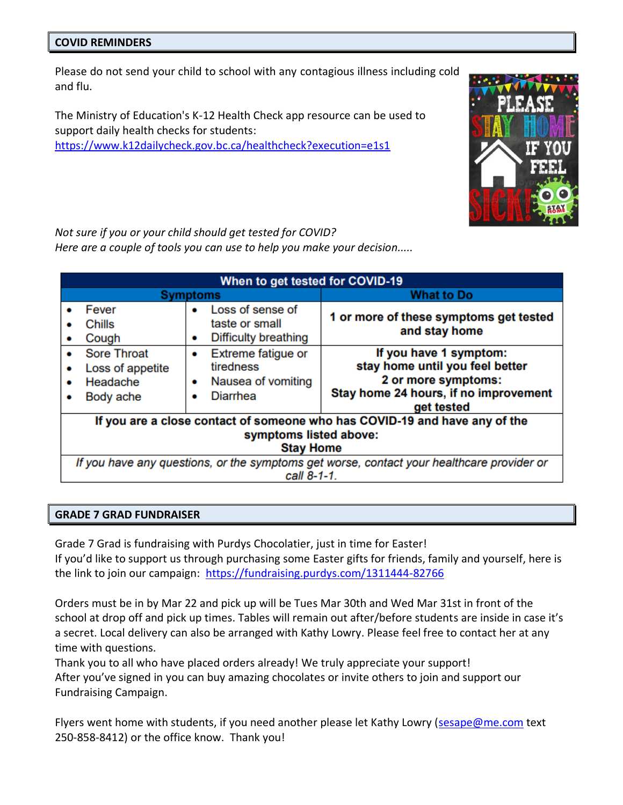#### **COVID REMINDERS**

Please do not send your child to school with any contagious illness including cold and flu.

The Ministry of Education's K-12 Health Check app resource can be used to support daily health checks for students: <https://www.k12dailycheck.gov.bc.ca/healthcheck?execution=e1s1>



*Not sure if you or your child should get tested for COVID? Here are a couple of tools you can use to help you make your decision.....*

| When to get tested for COVID-19                                                                          |                                                                 |             |                                                                          |                                                                                                                                         |  |  |  |  |  |  |
|----------------------------------------------------------------------------------------------------------|-----------------------------------------------------------------|-------------|--------------------------------------------------------------------------|-----------------------------------------------------------------------------------------------------------------------------------------|--|--|--|--|--|--|
| <b>Symptoms</b>                                                                                          |                                                                 |             |                                                                          | <b>What to Do</b>                                                                                                                       |  |  |  |  |  |  |
|                                                                                                          | Fever<br>Chills<br>Cough                                        | ٠           | Loss of sense of<br>taste or small<br><b>Difficulty breathing</b>        | 1 or more of these symptoms get tested<br>and stay home                                                                                 |  |  |  |  |  |  |
| ۰                                                                                                        | <b>Sore Throat</b><br>Loss of appetite<br>Headache<br>Body ache | ٠<br>٠<br>۰ | Extreme fatigue or<br>tiredness<br>Nausea of vomiting<br><b>Diarrhea</b> | If you have 1 symptom:<br>stay home until you feel better<br>2 or more symptoms:<br>Stay home 24 hours, if no improvement<br>get tested |  |  |  |  |  |  |
| If you are a close contact of someone who has COVID-19 and have any of the                               |                                                                 |             |                                                                          |                                                                                                                                         |  |  |  |  |  |  |
| symptoms listed above:                                                                                   |                                                                 |             |                                                                          |                                                                                                                                         |  |  |  |  |  |  |
| <b>Stay Home</b>                                                                                         |                                                                 |             |                                                                          |                                                                                                                                         |  |  |  |  |  |  |
| If you have any questions, or the symptoms get worse, contact your healthcare provider or<br>call 8-1-1. |                                                                 |             |                                                                          |                                                                                                                                         |  |  |  |  |  |  |

#### **GRADE 7 GRAD FUNDRAISER**

Grade 7 Grad is fundraising with Purdys Chocolatier, just in time for Easter! If you'd like to support us through purchasing some Easter gifts for friends, family and yourself, here is the link to join our campaign: <https://fundraising.purdys.com/1311444-82766>

Orders must be in by Mar 22 and pick up will be Tues Mar 30th and Wed Mar 31st in front of the school at drop off and pick up times. Tables will remain out after/before students are inside in case it's a secret. Local delivery can also be arranged with Kathy Lowry. Please feel free to contact her at any time with questions.

Thank you to all who have placed orders already! We truly appreciate your support! After you've signed in you can buy amazing chocolates or invite others to join and support our Fundraising Campaign.

Flyers went home with students, if you need another please let Kathy Lowry [\(sesape@me.com](mailto:sesape@me.com) text 250-858-8412) or the office know. Thank you!